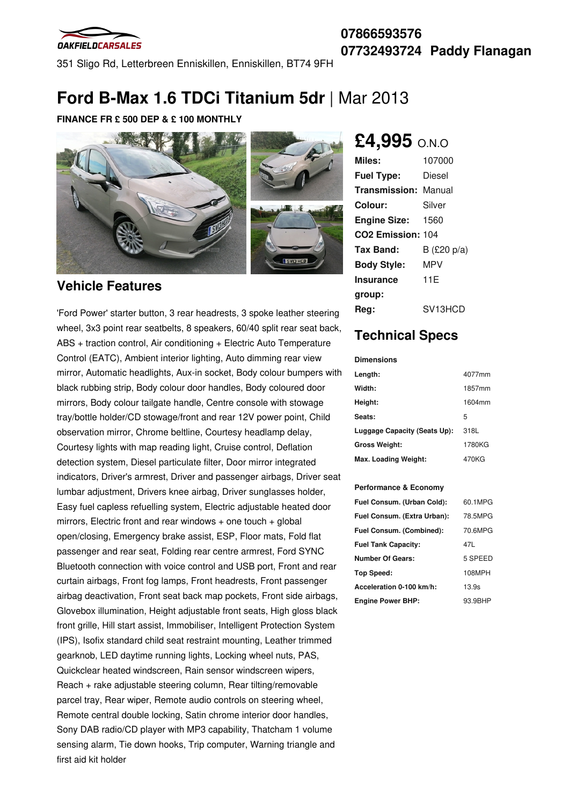

351 Sligo Rd, Letterbreen Enniskillen, Enniskillen, BT74 9FH

# **Ford B-Max 1.6 TDCi Titanium 5dr** | Mar 2013

### **FINANCE FR £ 500 DEP & £ 100 MONTHLY**



### **Vehicle Features**

'Ford Power' starter button, 3 rear headrests, 3 spoke leather steering wheel, 3x3 point rear seatbelts, 8 speakers, 60/40 split rear seat back, ABS + traction control, Air conditioning + Electric Auto Temperature Control (EATC), Ambient interior lighting, Auto dimming rear view mirror, Automatic headlights, Aux-in socket, Body colour bumpers with black rubbing strip, Body colour door handles, Body coloured door mirrors, Body colour tailgate handle, Centre console with stowage tray/bottle holder/CD stowage/front and rear 12V power point, Child observation mirror, Chrome beltline, Courtesy headlamp delay, Courtesy lights with map reading light, Cruise control, Deflation detection system, Diesel particulate filter, Door mirror integrated indicators, Driver's armrest, Driver and passenger airbags, Driver seat lumbar adjustment, Drivers knee airbag, Driver sunglasses holder, Easy fuel capless refuelling system, Electric adjustable heated door mirrors, Electric front and rear windows + one touch + global open/closing, Emergency brake assist, ESP, Floor mats, Fold flat passenger and rear seat, Folding rear centre armrest, Ford SYNC Bluetooth connection with voice control and USB port, Front and rear curtain airbags, Front fog lamps, Front headrests, Front passenger airbag deactivation, Front seat back map pockets, Front side airbags, Glovebox illumination, Height adjustable front seats, High gloss black front grille, Hill start assist, Immobiliser, Intelligent Protection System (IPS), Isofix standard child seat restraint mounting, Leather trimmed gearknob, LED daytime running lights, Locking wheel nuts, PAS, Quickclear heated windscreen, Rain sensor windscreen wipers, Reach + rake adjustable steering column, Rear tilting/removable parcel tray, Rear wiper, Remote audio controls on steering wheel, Remote central double locking, Satin chrome interior door handles, Sony DAB radio/CD player with MP3 capability, Thatcham 1 volume sensing alarm, Tie down hooks, Trip computer, Warning triangle and first aid kit holder

## **£4,995** O.N.O

| Miles:                        | 107000                             |
|-------------------------------|------------------------------------|
| <b>Fuel Type:</b>             | Diesel                             |
| <b>Transmission: Manual</b>   |                                    |
| Colour:                       | Silver                             |
| <b>Engine Size:</b>           | 1560                               |
| CO <sub>2</sub> Emission: 104 |                                    |
| Tax Band:                     | B $(\text{\pounds}20 \text{ p/a})$ |
| <b>Body Style:</b>            | MPV                                |
| <b>Insurance</b>              | 11F                                |
| group:                        |                                    |
| Rea:                          | SV13HCD                            |

## **Technical Specs**

#### **Dimensions**

| Length:                      | 4077mm |
|------------------------------|--------|
| Width:                       | 1857mm |
| Height:                      | 1604mm |
| Seats:                       | 5      |
| Luggage Capacity (Seats Up): | 318L   |
| <b>Gross Weight:</b>         | 1780KG |
| Max. Loading Weight:         | 470KG  |

#### **Performance & Economy**

| Fuel Consum. (Urban Cold):  | 60.1MPG |
|-----------------------------|---------|
| Fuel Consum. (Extra Urban): | 78.5MPG |
| Fuel Consum. (Combined):    | 70.6MPG |
| <b>Fuel Tank Capacity:</b>  | 47L     |
| <b>Number Of Gears:</b>     | 5 SPEED |
| Top Speed:                  | 108MPH  |
| Acceleration 0-100 km/h:    | 13.9s   |
| <b>Engine Power BHP:</b>    | 93.9BHP |